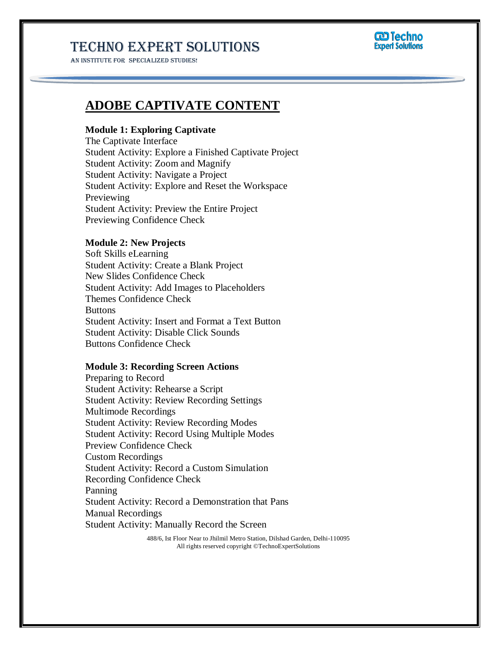AN INSTITUTE FOR SPECIALIZED STUDIES!



### **ADOBE CAPTIVATE CONTENT**

### **Module 1: Exploring Captivate**

The Captivate Interface Student Activity: Explore a Finished Captivate Project Student Activity: Zoom and Magnify Student Activity: Navigate a Project Student Activity: Explore and Reset the Workspace Previewing Student Activity: Preview the Entire Project Previewing Confidence Check

### **Module 2: New Projects**

Soft Skills eLearning Student Activity: Create a Blank Project New Slides Confidence Check Student Activity: Add Images to Placeholders Themes Confidence Check Buttons Student Activity: Insert and Format a Text Button Student Activity: Disable Click Sounds Buttons Confidence Check

#### **Module 3: Recording Screen Actions**

Preparing to Record Student Activity: Rehearse a Script Student Activity: Review Recording Settings Multimode Recordings Student Activity: Review Recording Modes Student Activity: Record Using Multiple Modes Preview Confidence Check Custom Recordings Student Activity: Record a Custom Simulation Recording Confidence Check Panning Student Activity: Record a Demonstration that Pans Manual Recordings Student Activity: Manually Record the Screen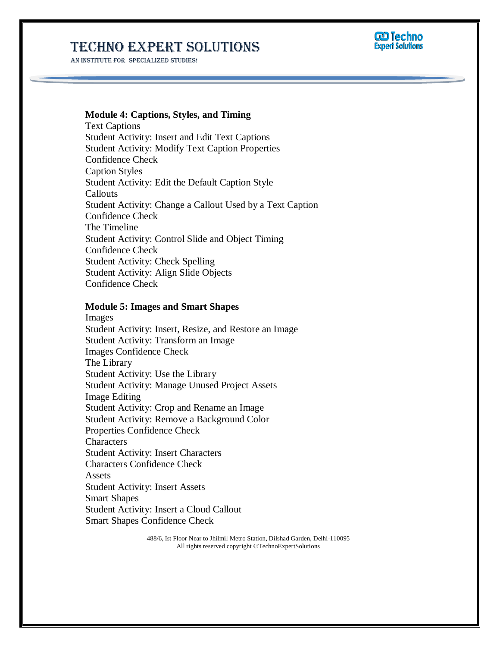AN INSTITUTE FOR SPECIALIZED STUDIES!



#### **Module 4: Captions, Styles, and Timing**

Text Captions Student Activity: Insert and Edit Text Captions Student Activity: Modify Text Caption Properties Confidence Check Caption Styles Student Activity: Edit the Default Caption Style Callouts Student Activity: Change a Callout Used by a Text Caption Confidence Check The Timeline Student Activity: Control Slide and Object Timing Confidence Check Student Activity: Check Spelling Student Activity: Align Slide Objects Confidence Check

#### **Module 5: Images and Smart Shapes**

Images Student Activity: Insert, Resize, and Restore an Image Student Activity: Transform an Image Images Confidence Check The Library Student Activity: Use the Library Student Activity: Manage Unused Project Assets Image Editing Student Activity: Crop and Rename an Image Student Activity: Remove a Background Color Properties Confidence Check **Characters** Student Activity: Insert Characters Characters Confidence Check Assets Student Activity: Insert Assets Smart Shapes Student Activity: Insert a Cloud Callout Smart Shapes Confidence Check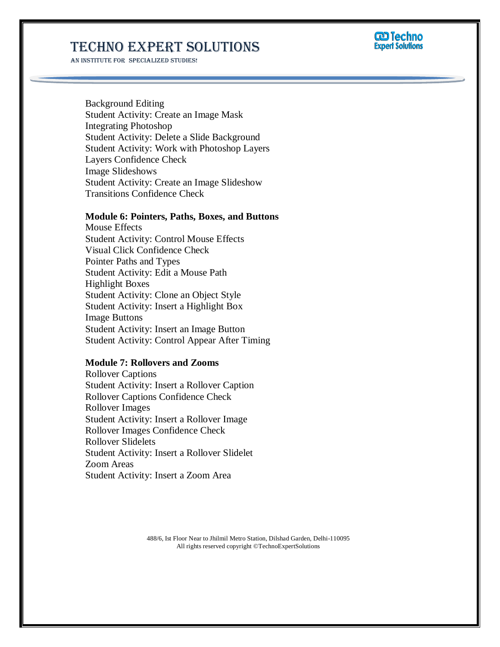AN INSTITUTE FOR SPECIALIZED STUDIES!



Background Editing Student Activity: Create an Image Mask Integrating Photoshop Student Activity: Delete a Slide Background Student Activity: Work with Photoshop Layers Layers Confidence Check Image Slideshows Student Activity: Create an Image Slideshow Transitions Confidence Check

#### **Module 6: Pointers, Paths, Boxes, and Buttons**

Mouse Effects Student Activity: Control Mouse Effects Visual Click Confidence Check Pointer Paths and Types Student Activity: Edit a Mouse Path Highlight Boxes Student Activity: Clone an Object Style Student Activity: Insert a Highlight Box Image Buttons Student Activity: Insert an Image Button Student Activity: Control Appear After Timing

#### **Module 7: Rollovers and Zooms**

Rollover Captions Student Activity: Insert a Rollover Caption Rollover Captions Confidence Check Rollover Images Student Activity: Insert a Rollover Image Rollover Images Confidence Check Rollover Slidelets Student Activity: Insert a Rollover Slidelet Zoom Areas Student Activity: Insert a Zoom Area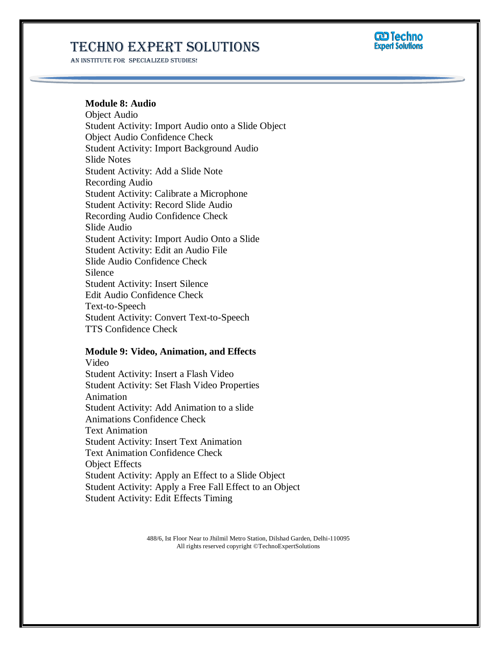AN INSTITUTE FOR SPECIALIZED STUDIES!



#### **Module 8: Audio**

Object Audio Student Activity: Import Audio onto a Slide Object Object Audio Confidence Check Student Activity: Import Background Audio Slide Notes Student Activity: Add a Slide Note Recording Audio Student Activity: Calibrate a Microphone Student Activity: Record Slide Audio Recording Audio Confidence Check Slide Audio Student Activity: Import Audio Onto a Slide Student Activity: Edit an Audio File Slide Audio Confidence Check Silence Student Activity: Insert Silence Edit Audio Confidence Check Text-to-Speech Student Activity: Convert Text-to-Speech TTS Confidence Check

### **Module 9: Video, Animation, and Effects**

Video Student Activity: Insert a Flash Video Student Activity: Set Flash Video Properties Animation Student Activity: Add Animation to a slide Animations Confidence Check Text Animation Student Activity: Insert Text Animation Text Animation Confidence Check Object Effects Student Activity: Apply an Effect to a Slide Object Student Activity: Apply a Free Fall Effect to an Object Student Activity: Edit Effects Timing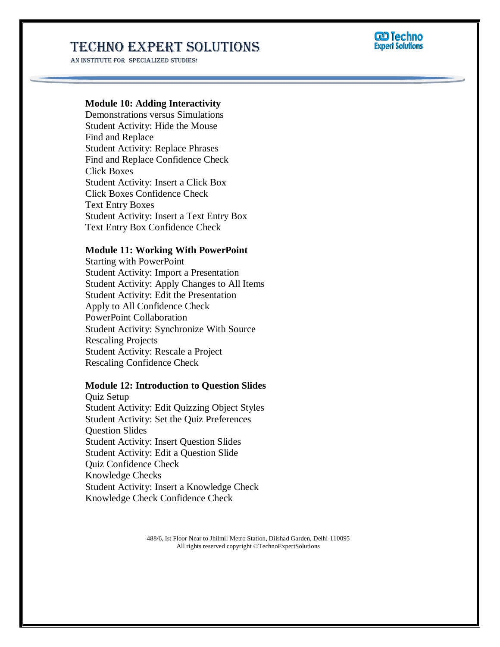AN INSTITUTE FOR SPECIALIZED STUDIES!



### **Module 10: Adding Interactivity**

Demonstrations versus Simulations Student Activity: Hide the Mouse Find and Replace Student Activity: Replace Phrases Find and Replace Confidence Check Click Boxes Student Activity: Insert a Click Box Click Boxes Confidence Check Text Entry Boxes Student Activity: Insert a Text Entry Box Text Entry Box Confidence Check

#### **Module 11: Working With PowerPoint**

Starting with PowerPoint Student Activity: Import a Presentation Student Activity: Apply Changes to All Items Student Activity: Edit the Presentation Apply to All Confidence Check PowerPoint Collaboration Student Activity: Synchronize With Source Rescaling Projects Student Activity: Rescale a Project Rescaling Confidence Check

#### **Module 12: Introduction to Question Slides**

Quiz Setup Student Activity: Edit Quizzing Object Styles Student Activity: Set the Quiz Preferences Question Slides Student Activity: Insert Question Slides Student Activity: Edit a Question Slide Quiz Confidence Check Knowledge Checks Student Activity: Insert a Knowledge Check Knowledge Check Confidence Check